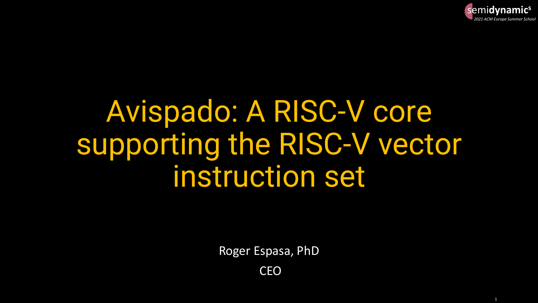

# Avispado: A RISC-V core supporting the RISC-V vector instruction set

Roger Espasa, PhD

CEO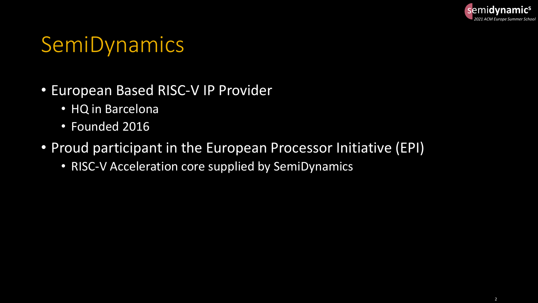

#### SemiDynamics

#### • European Based RISC-V IP Provider

- HQ in Barcelona
- Founded 2016
- Proud participant in the European Processor Initiative (EPI)
	- RISC-V Acceleration core supplied by SemiDynamics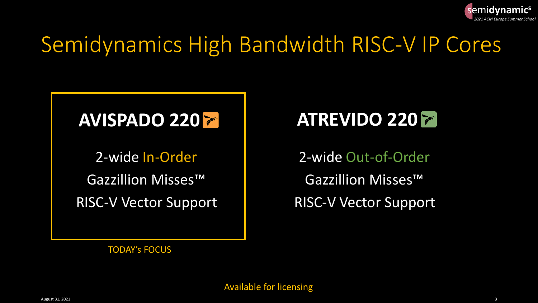

## Semidynamics High Bandwidth RISC-V IP Cores

#### AVISPADO 220 **<b>ATREVIDO 220 7**

Gazzillion Misses™

2-wide In-Order 2-wide Out-of-Order Gazzillion Misses™ RISC-V Vector Support RISC-V Vector Support

TODAY's FOCUS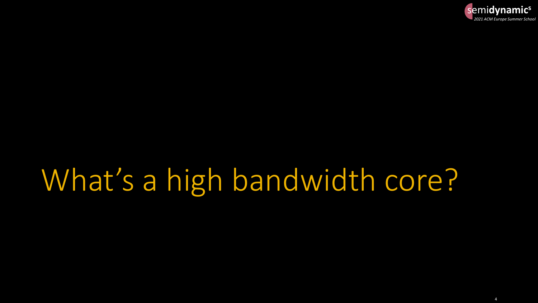

# What's a high bandwidth core?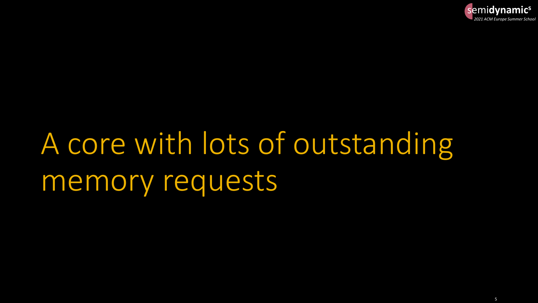

# A core with lots of outstanding memory requests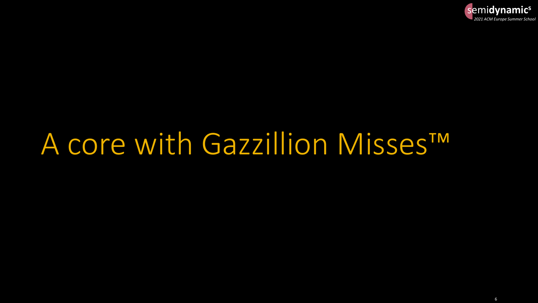

# A core with Gazzillion Misses<sup>TM</sup>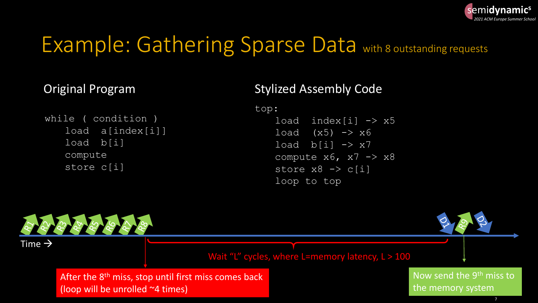

## Example: Gathering Sparse Data with 8 outstanding requests

#### Original Program

```
while ( condition )
load a[index[i]]
load b[i]
compute
store c[i]
```
#### Stylized Assembly Code

top:

load  $index[i] \rightarrow x5$ load  $(x5) \rightarrow x6$ load  $b[i]$   $\rightarrow$   $x7$ compute  $x6$ ,  $x7 \rightarrow x8$ store  $x8 \rightarrow c[i]$ loop to top

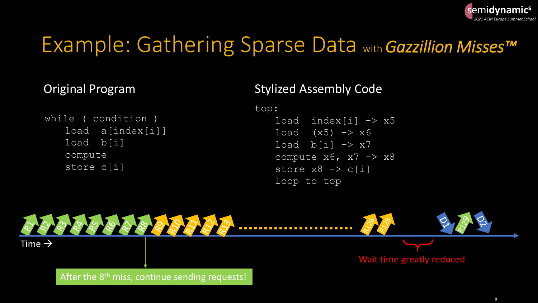

### Example: Gathering Sparse Data with *Gazzillion Misses™*

#### Original Program

```
while ( condition )
load a[index[i]]
load b[i]
compute
store c[i]
```
#### Stylized Assembly Code

top:

load  $index[i] \rightarrow x5$ load  $(x5) \rightarrow x6$ load  $b[i]$   $\rightarrow$   $x7$ compute  $x6$ ,  $x7 \rightarrow x8$ store  $x8 \rightarrow c[i]$ loop to top

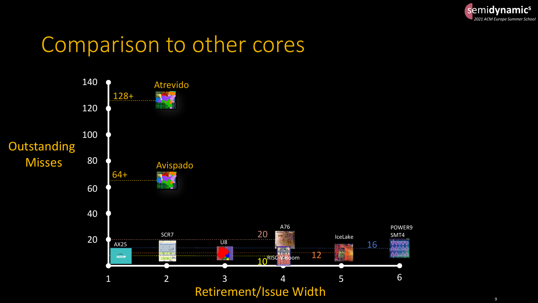

#### Comparison to other cores

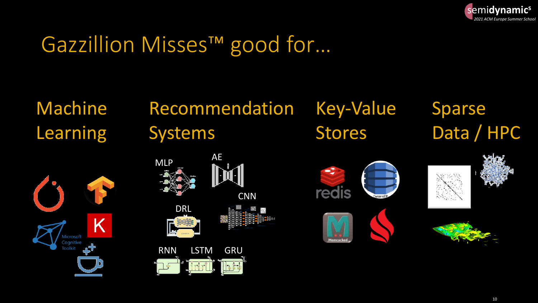

## Gazzillion Misses™ good for...

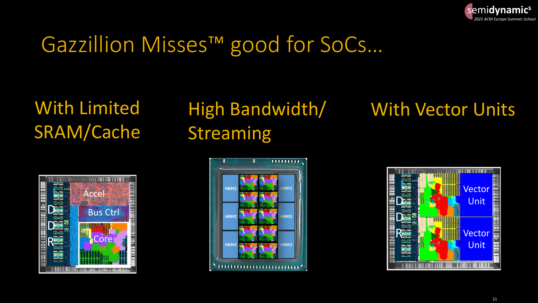

## Gazzillion Misses™ good for SoCs...

**With Limited SRAM/Cache** 

# **Accel Bus Ctrl**

# **Streaming**

#### High Bandwidth/ With Vector Units



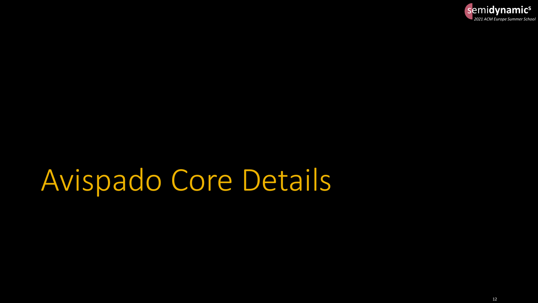

# Avispado Core Details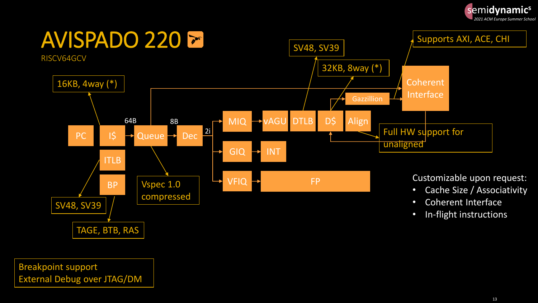



Breakpoint support External Debug over JTAG/DM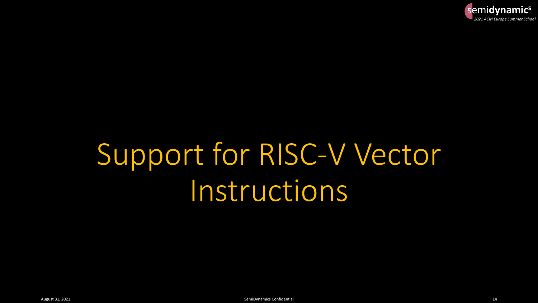

# Support for RISC-V Vector Instructions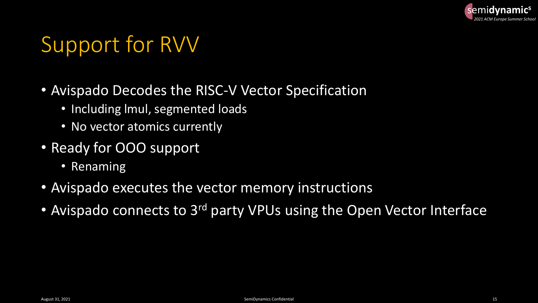

## Support for RVV

- Avispado Decodes the RISC-V Vector Specification
	- Including lmul, segmented loads
	- No vector atomics currently
- Ready for OOO support
	- Renaming
- Avispado executes the vector memory instructions
- Avispado connects to 3<sup>rd</sup> party VPUs using the Open Vector Interface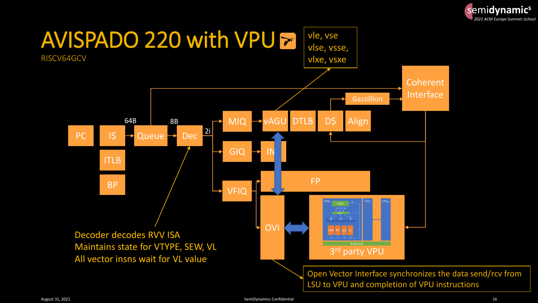

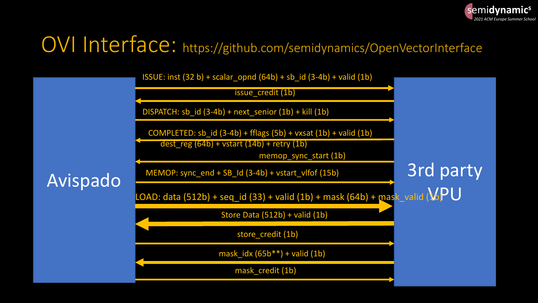

## OVI Interface: https://github.com/semidynamics/OpenVectorInterface

| Avispado | ISSUE: inst $(32 b)$ + scalar_opnd $(64b)$ + sb_id $(3-4b)$ + valid $(1b)$<br>issue_credit (1b)                                       |                  |
|----------|---------------------------------------------------------------------------------------------------------------------------------------|------------------|
|          | DISPATCH: sb_id (3-4b) + next_senior (1b) + kill (1b)                                                                                 |                  |
|          | COMPLETED: $sb_id(3-4b) + fflags(5b) + vxsat(1b) + valid(1b)$<br>$dest_{reg}(64b) + vstart(14b) + retry(1b)$<br>memop_sync_start (1b) |                  |
|          | MEMOP: sync_end + SB_Id (3-4b) + vstart_vlfof (15b)                                                                                   | <b>3rd party</b> |
|          | LOAD: data (512b) + seq_id (33) + valid (1b) + mask (64b) + mask_valid ( $\sqrt{P}$ U                                                 |                  |
|          | Store Data (512b) + valid (1b)                                                                                                        |                  |
|          | store credit (1b)                                                                                                                     |                  |
|          | mask_idx $(65b**) +$ valid $(1b)$                                                                                                     |                  |
|          | mask_credit (1b)                                                                                                                      |                  |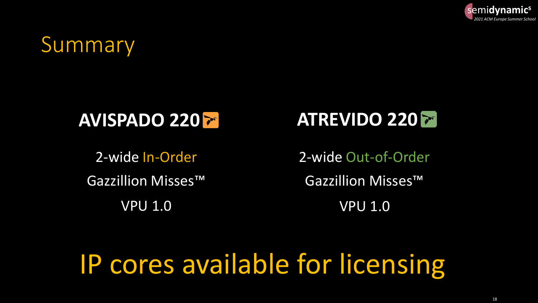

#### Summary

#### AVISPADO 220 **<b>ATREVIDO** 220 **P**

Gazzillion Misses™

VPU 1.0 VPU 1.0

2-wide In-Order 2-wide Out-of-Order Gazzillion Misses™

## IP cores available for licensing